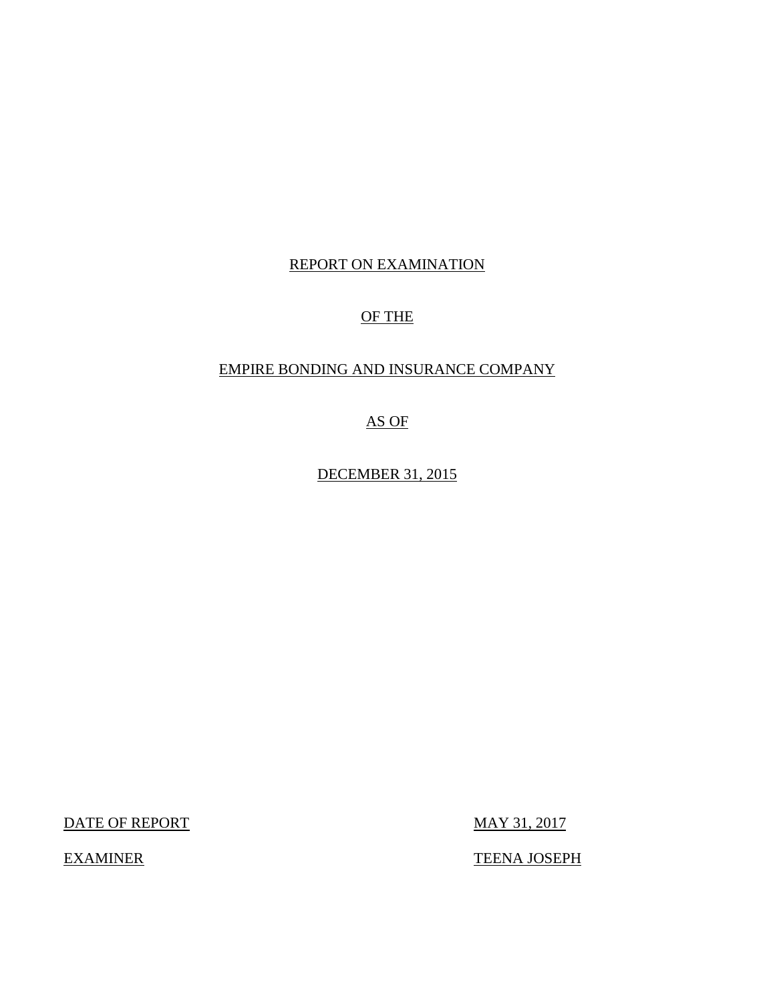## REPORT ON EXAMINATION

## OF THE

## EMPIRE BONDING AND INSURANCE COMPANY

AS OF

DECEMBER 31, 2015

DATE OF REPORT MAY 31, 2017

EXAMINER TEENA JOSEPH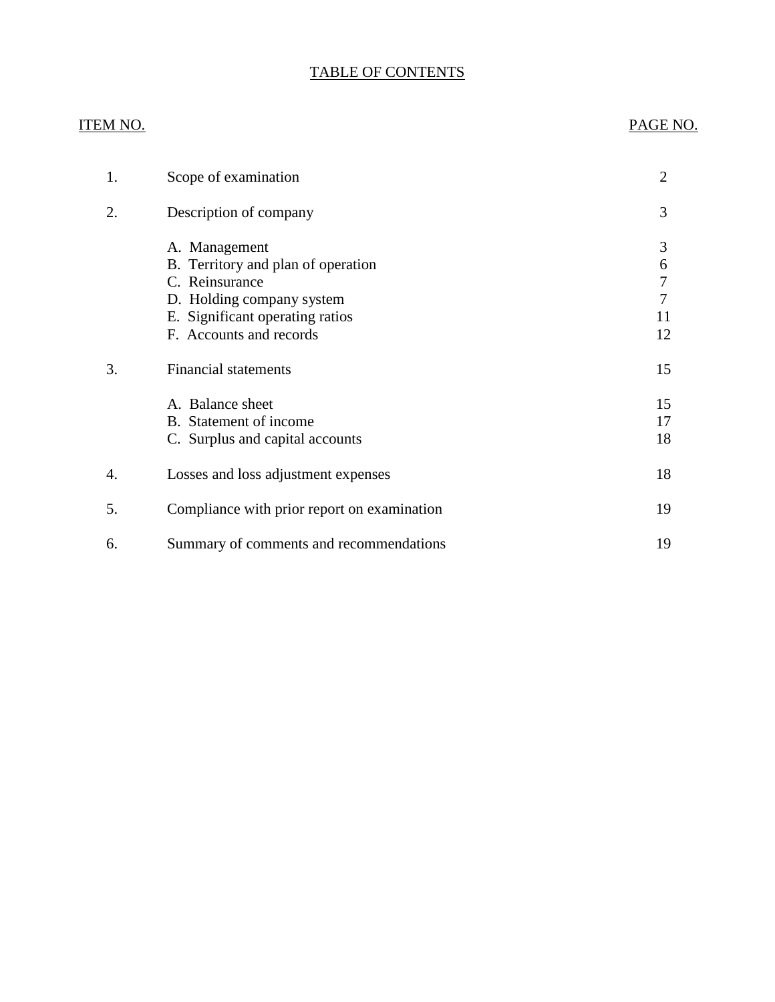## TABLE OF CONTENTS

## ITEM NO. PAGE NO.

| 1. | Scope of examination                                                                                                                                             | $\overline{2}$               |
|----|------------------------------------------------------------------------------------------------------------------------------------------------------------------|------------------------------|
| 2. | Description of company                                                                                                                                           | 3                            |
|    | A. Management<br>B. Territory and plan of operation<br>C. Reinsurance<br>D. Holding company system<br>E. Significant operating ratios<br>F. Accounts and records | 3<br>6<br>7<br>7<br>11<br>12 |
| 3. | <b>Financial statements</b>                                                                                                                                      | 15                           |
|    | A. Balance sheet<br>B. Statement of income<br>C. Surplus and capital accounts                                                                                    | 15<br>17<br>18               |
| 4. | Losses and loss adjustment expenses                                                                                                                              | 18                           |
| 5. | Compliance with prior report on examination                                                                                                                      | 19                           |
| 6. | Summary of comments and recommendations                                                                                                                          | 19                           |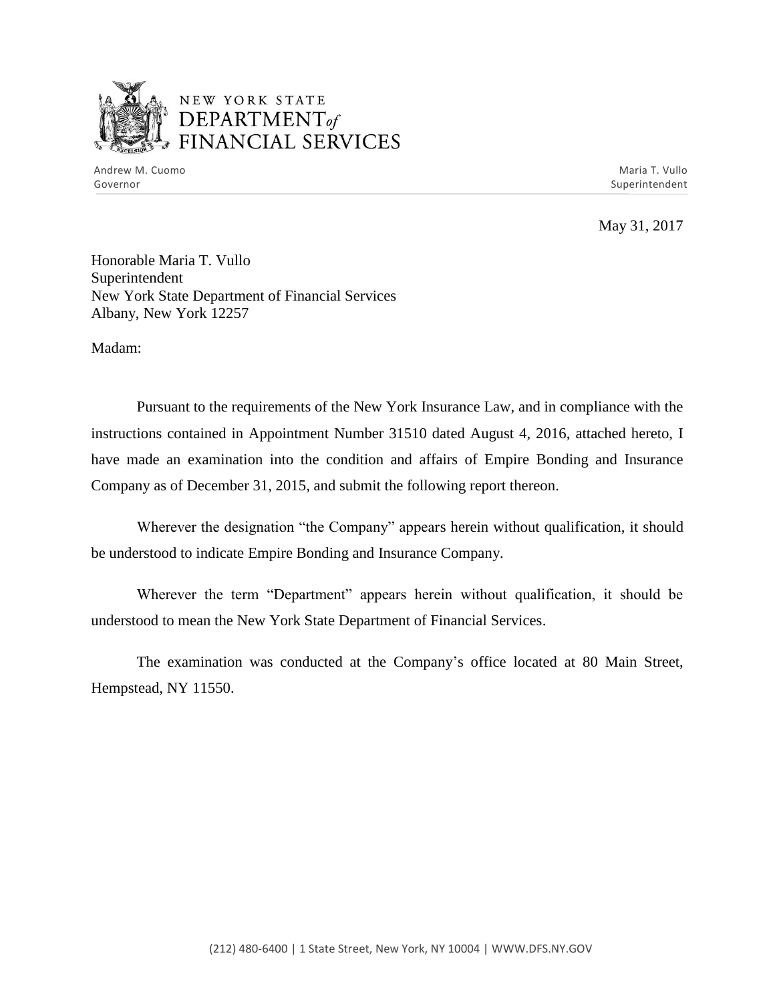

## NEW YORK STATE *DEPARTMENTof ~~\_,.,..r----,0' --..* FINANCIAL SERVICES

Andrew M. Cuomo **Maria T. Vullo** Maria T. Vullo Maria T. Vullo Maria T. Vullo Maria T. Vullo Governor Superintendent Superintendent Superintendent Superintendent Superintendent Superintendent Superintendent

May 31, 2017

Honorable Maria T. Vullo Superintendent New York State Department of Financial Services Albany, New York 12257

Madam:

Pursuant to the requirements of the New York Insurance Law, and in compliance with the instructions contained in Appointment Number 31510 dated August 4, 2016, attached hereto, I have made an examination into the condition and affairs of Empire Bonding and Insurance Company as of December 31, 2015, and submit the following report thereon.

Wherever the designation "the Company" appears herein without qualification, it should be understood to indicate Empire Bonding and Insurance Company.

 Wherever the term "Department" appears herein without qualification, it should be understood to mean the New York State Department of Financial Services.

The examination was conducted at the Company's office located at 80 Main Street, Hempstead, NY 11550.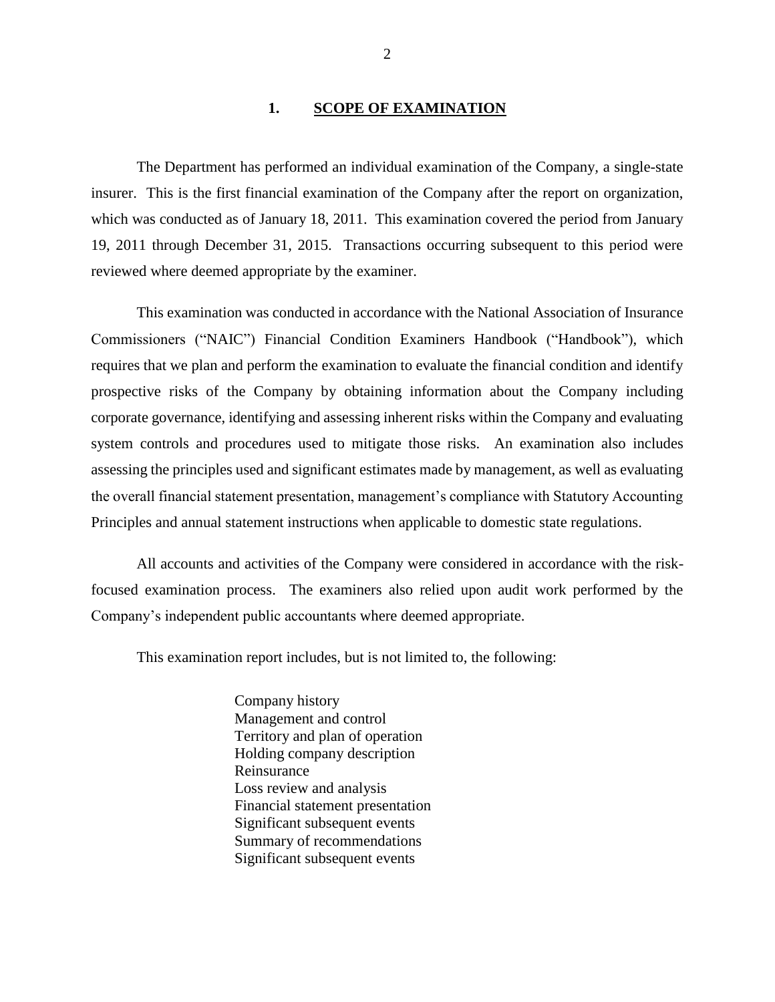#### **1. SCOPE OF EXAMINATION**

<span id="page-3-0"></span>The Department has performed an individual examination of the Company*,* a single-state insurer. This is the first financial examination of the Company after the report on organization, which was conducted as of January 18, 2011. This examination covered the period from January 19, 2011 through December 31, 2015. Transactions occurring subsequent to this period were reviewed where deemed appropriate by the examiner.

This examination was conducted in accordance with the National Association of Insurance Commissioners ("NAIC") Financial Condition Examiners Handbook ("Handbook"), which requires that we plan and perform the examination to evaluate the financial condition and identify prospective risks of the Company by obtaining information about the Company including corporate governance, identifying and assessing inherent risks within the Company and evaluating system controls and procedures used to mitigate those risks. An examination also includes assessing the principles used and significant estimates made by management, as well as evaluating the overall financial statement presentation, management's compliance with Statutory Accounting Principles and annual statement instructions when applicable to domestic state regulations.

All accounts and activities of the Company were considered in accordance with the riskfocused examination process. The examiners also relied upon audit work performed by the Company's independent public accountants where deemed appropriate.

This examination report includes, but is not limited to, the following:

Company history Management and control Territory and plan of operation Holding company description Reinsurance Loss review and analysis Financial statement presentation Significant subsequent events Summary of recommendations Significant subsequent events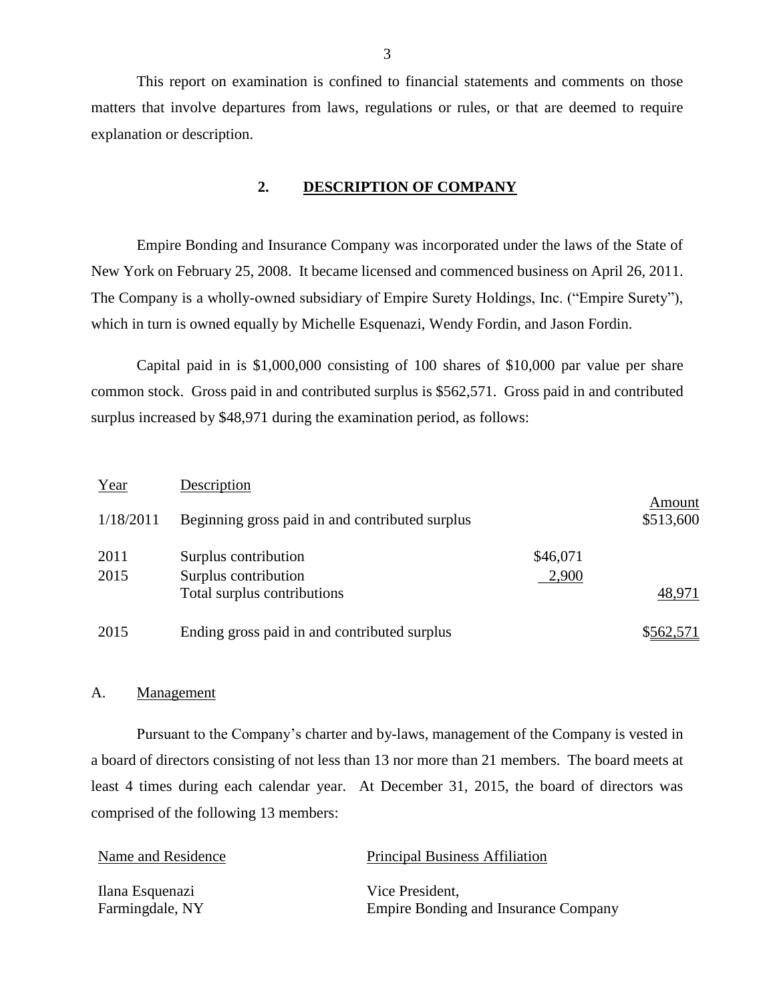This report on examination is confined to financial statements and comments on those matters that involve departures from laws, regulations or rules, or that are deemed to require explanation or description.

#### <span id="page-4-0"></span>**2. DESCRIPTION OF COMPANY**

 The Company is a wholly-owned subsidiary of Empire Surety Holdings, Inc. ("Empire Surety"), Empire Bonding and Insurance Company was incorporated under the laws of the State of New York on February 25, 2008. It became licensed and commenced business on April 26, 2011. which in turn is owned equally by Michelle Esquenazi, Wendy Fordin, and Jason Fordin.

Capital paid in is \$1,000,000 consisting of 100 shares of \$10,000 par value per share common stock. Gross paid in and contributed surplus is \$562,571. Gross paid in and contributed surplus increased by \$48,971 during the examination period, as follows:

| Year         | Description                                     |                   |                     |
|--------------|-------------------------------------------------|-------------------|---------------------|
| 1/18/2011    | Beginning gross paid in and contributed surplus |                   | Amount<br>\$513,600 |
| 2011<br>2015 | Surplus contribution<br>Surplus contribution    | \$46,071<br>2,900 |                     |
|              | Total surplus contributions                     |                   | 48,971              |
| 2015         | Ending gross paid in and contributed surplus    |                   | \$562,571           |

#### <span id="page-4-1"></span>A. Management

Pursuant to the Company's charter and by-laws, management of the Company is vested in a board of directors consisting of not less than 13 nor more than 21 members. The board meets at least 4 times during each calendar year. At December 31, 2015, the board of directors was comprised of the following 13 members:

| Name and Residence | <b>Principal Business Affiliation</b>       |
|--------------------|---------------------------------------------|
| Ilana Esquenazi    | Vice President,                             |
| Farmingdale, NY    | <b>Empire Bonding and Insurance Company</b> |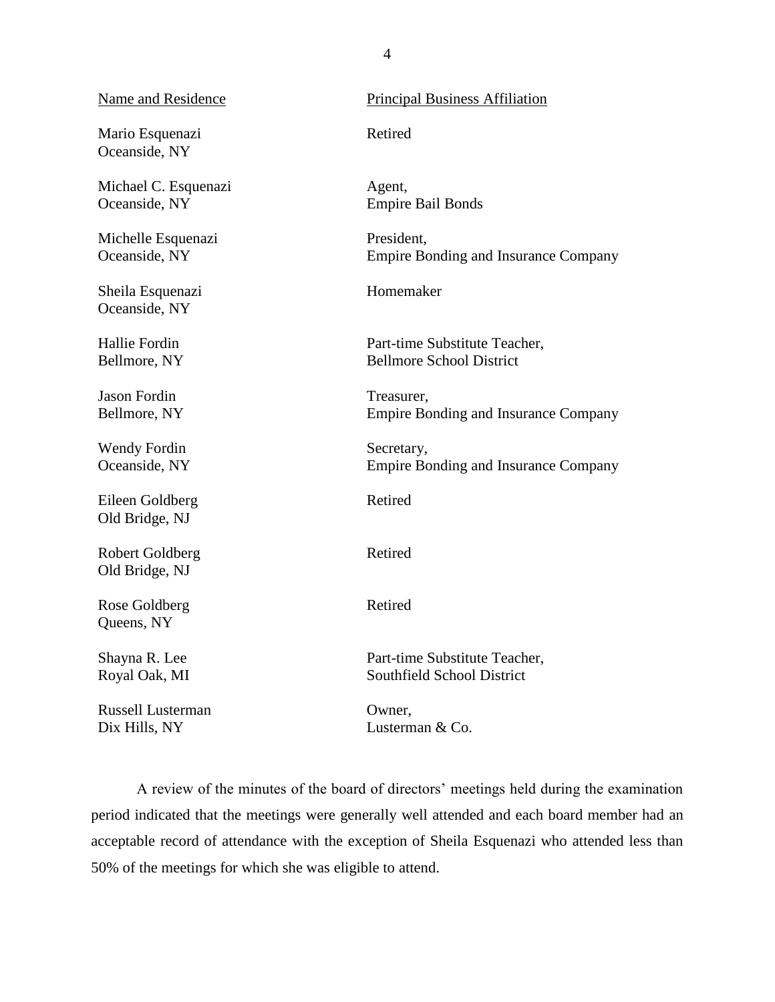#### Name and Residence

Mario Esquenazi Oceanside, NY

Michael C. Esquenazi Oceanside, NY

Michelle Esquenazi Oceanside, NY

Sheila Esquenazi Oceanside, NY

Hallie Fordin Bellmore, NY

Jason Fordin Bellmore, NY

Wendy Fordin Oceanside, NY

Eileen Goldberg Old Bridge, NJ

Robert Goldberg Old Bridge, NJ

Rose Goldberg Queens, NY

Shayna R. Lee Royal Oak, MI

Russell Lusterman Dix Hills, NY

#### Principal Business Affiliation

Retired

Agent, Empire Bail Bonds

President, Empire Bonding and Insurance Company

Homemaker

Part-time Substitute Teacher, Bellmore School District

Treasurer, Empire Bonding and Insurance Company

Secretary, Empire Bonding and Insurance Company

Retired

Retired

Retired

Part-time Substitute Teacher, Southfield School District

Owner, Lusterman & Co.

 A review of the minutes of the board of directors' meetings held during the examination period indicated that the meetings were generally well attended and each board member had an acceptable record of attendance with the exception of Sheila Esquenazi who attended less than 50% of the meetings for which she was eligible to attend.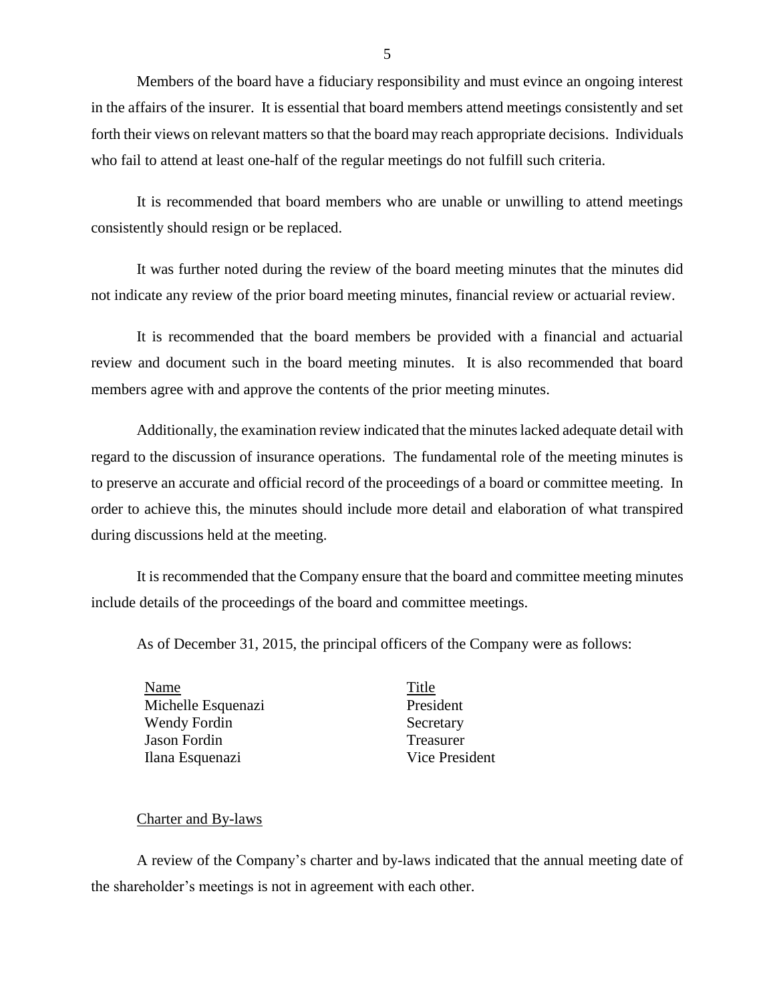Members of the board have a fiduciary responsibility and must evince an ongoing interest in the affairs of the insurer. It is essential that board members attend meetings consistently and set forth their views on relevant matters so that the board may reach appropriate decisions. Individuals who fail to attend at least one-half of the regular meetings do not fulfill such criteria.

<span id="page-6-0"></span>It is recommended that board members who are unable or unwilling to attend meetings consistently should resign or be replaced.

It was further noted during the review of the board meeting minutes that the minutes did not indicate any review of the prior board meeting minutes, financial review or actuarial review.

<span id="page-6-1"></span>It is recommended that the board members be provided with a financial and actuarial review and document such in the board meeting minutes. It is also recommended that board members agree with and approve the contents of the prior meeting minutes.

Additionally, the examination review indicated that the minutes lacked adequate detail with regard to the discussion of insurance operations. The fundamental role of the meeting minutes is to preserve an accurate and official record of the proceedings of a board or committee meeting. In order to achieve this, the minutes should include more detail and elaboration of what transpired during discussions held at the meeting.

<span id="page-6-3"></span>It is recommended that the Company ensure that the board and committee meeting minutes include details of the proceedings of the board and committee meetings.

As of December 31, 2015, the principal officers of the Company were as follows:

Name Title Michelle Esquenazi President Wendy Fordin Secretary Jason Fordin Treasurer Ilana Esquenazi Vice President

<span id="page-6-2"></span>

#### Charter and By-laws

A review of the Company's charter and by-laws indicated that the annual meeting date of the shareholder's meetings is not in agreement with each other.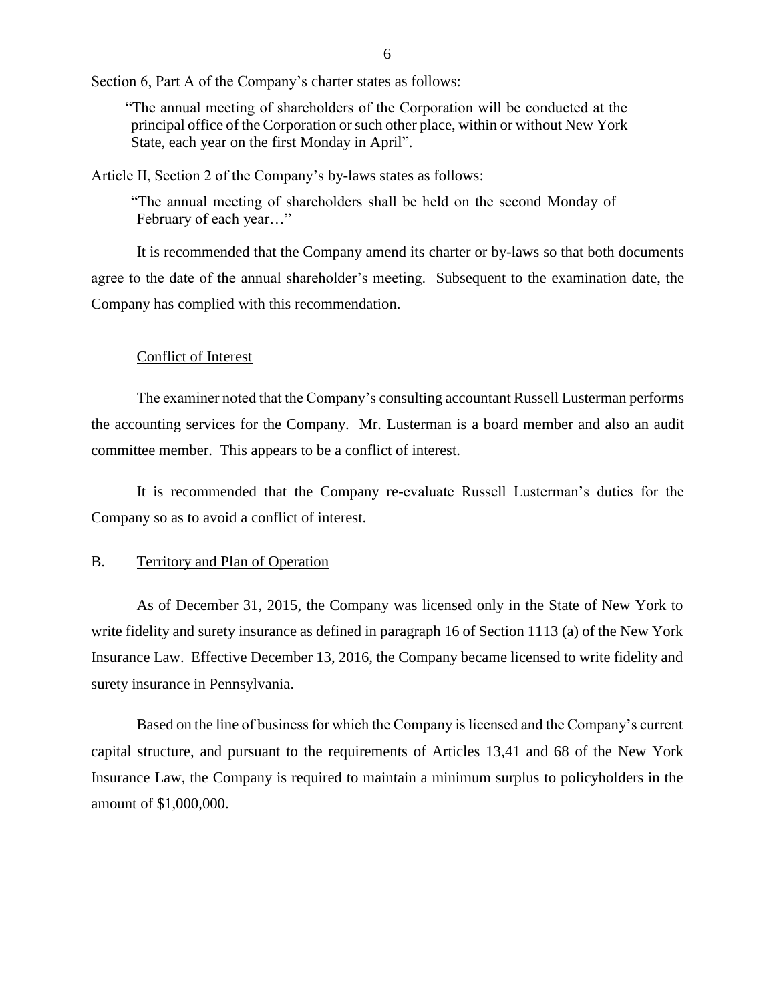Section 6, Part A of the Company's charter states as follows:

 "The annual meeting of shareholders of the Corporation will be conducted at the principal office of the Corporation or such other place, within or without New York State, each year on the first Monday in April".

Article II, Section 2 of the Company's by-laws states as follows:

<span id="page-7-1"></span> "The annual meeting of shareholders shall be held on the second Monday of February of each year…"

It is recommended that the Company amend its charter or by-laws so that both documents agree to the date of the annual shareholder's meeting. Subsequent to the examination date, the Company has complied with this recommendation.

#### Conflict of Interest

The examiner noted that the Company's consulting accountant Russell Lusterman performs the accounting services for the Company. Mr. Lusterman is a board member and also an audit committee member. This appears to be a conflict of interest.

<span id="page-7-2"></span> It is recommended that the Company re-evaluate Russell Lusterman's duties for the Company so as to avoid a conflict of interest.

#### <span id="page-7-0"></span>B. Territory and Plan of Operation

As of December 31, 2015, the Company was licensed only in the State of New York to write fidelity and surety insurance as defined in paragraph 16 of Section 1113 (a) of the New York Insurance Law. Effective December 13, 2016, the Company became licensed to write fidelity and surety insurance in Pennsylvania.

Based on the line of business for which the Company is licensed and the Company's current capital structure, and pursuant to the requirements of Articles 13,41 and 68 of the New York Insurance Law, the Company is required to maintain a minimum surplus to policyholders in the amount of \$1,000,000.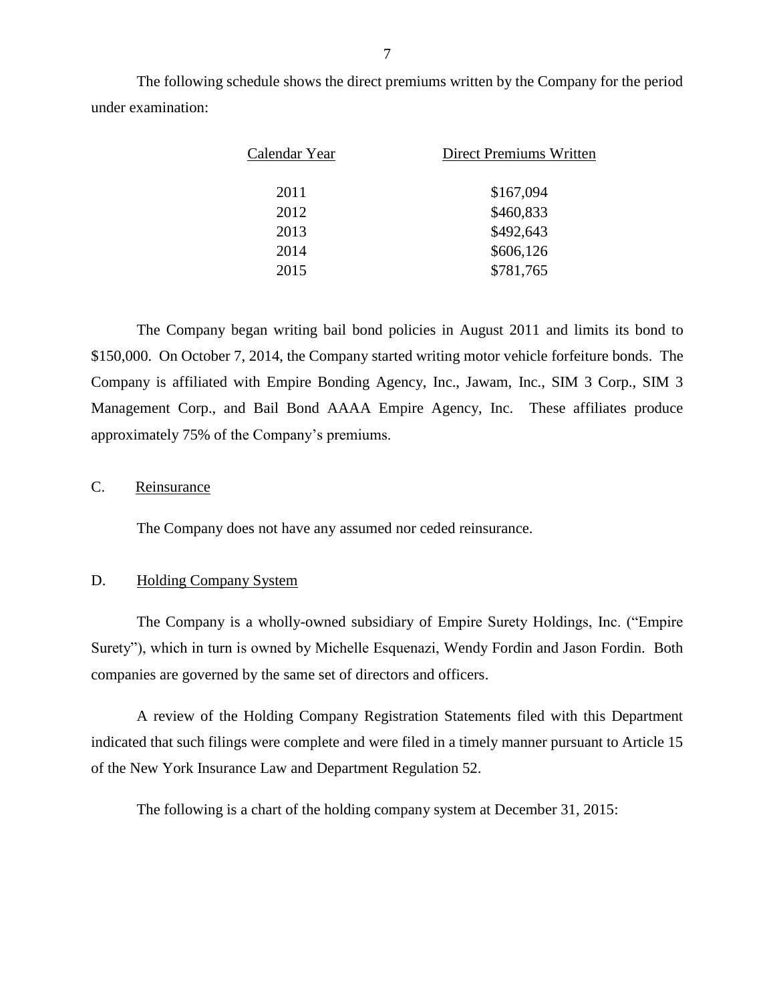The following schedule shows the direct premiums written by the Company for the period under examination:

| Calendar Year | Direct Premiums Written |
|---------------|-------------------------|
| 2011          | \$167,094               |
| 2012          | \$460,833               |
| 2013          | \$492,643               |
| 2014          | \$606,126               |
| 2015          | \$781,765               |

The Company began writing bail bond policies in August 2011 and limits its bond to \$150,000. On October 7, 2014, the Company started writing motor vehicle forfeiture bonds. The Company is affiliated with Empire Bonding Agency, Inc., Jawam, Inc., SIM 3 Corp., SIM 3 Management Corp., and Bail Bond AAAA Empire Agency, Inc. These affiliates produce approximately 75% of the Company's premiums.

#### <span id="page-8-0"></span>C. Reinsurance

The Company does not have any assumed nor ceded reinsurance.

#### <span id="page-8-1"></span>D. Holding Company System

 The Company is a wholly-owned subsidiary of Empire Surety Holdings, Inc. ("Empire Surety"), which in turn is owned by Michelle Esquenazi, Wendy Fordin and Jason Fordin. Both companies are governed by the same set of directors and officers.

A review of the Holding Company Registration Statements filed with this Department indicated that such filings were complete and were filed in a timely manner pursuant to Article 15 of the New York Insurance Law and Department Regulation 52.

The following is a chart of the holding company system at December 31, 2015: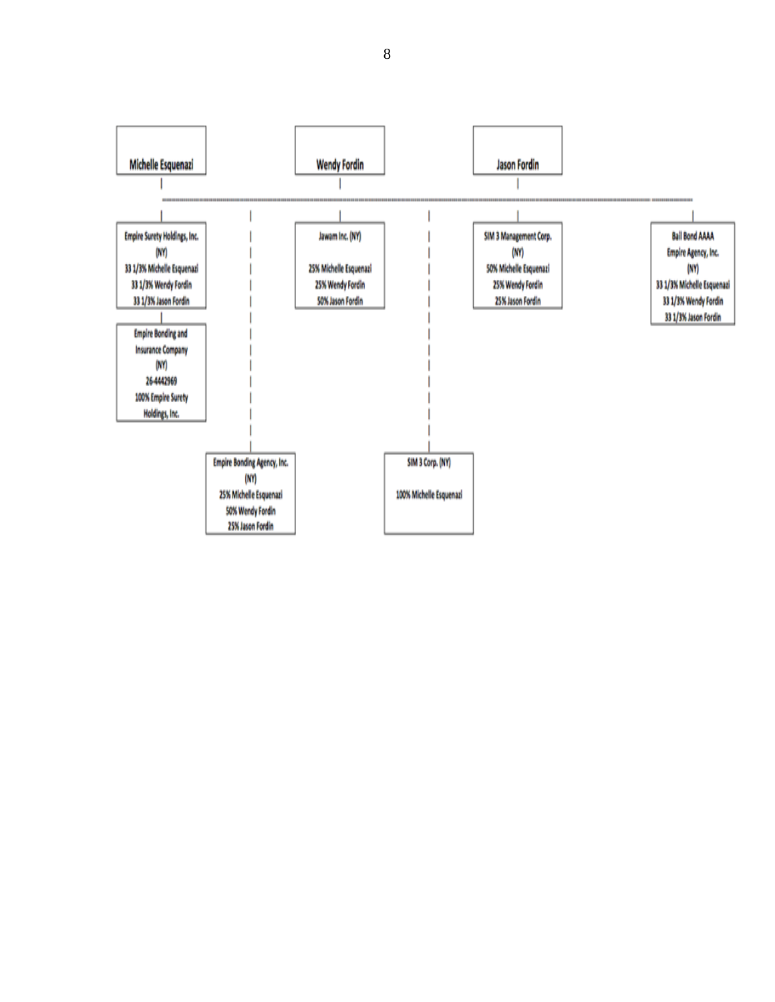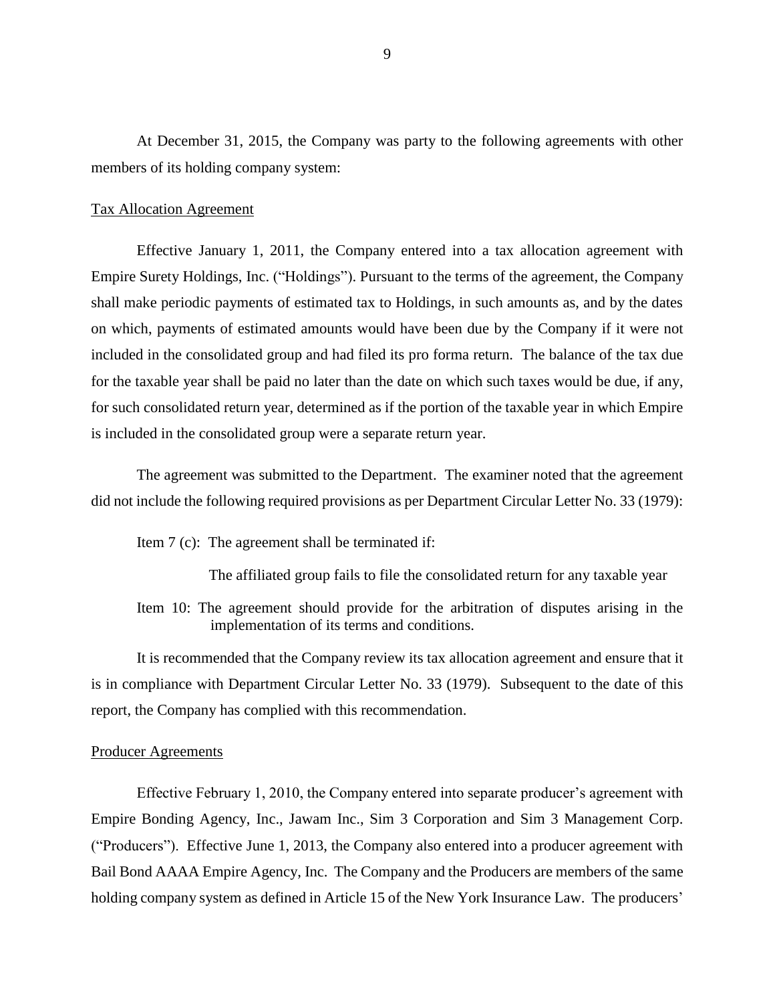At December 31, 2015, the Company was party to the following agreements with other members of its holding company system:

#### Tax Allocation Agreement

Effective January 1, 2011, the Company entered into a tax allocation agreement with Empire Surety Holdings, Inc. ("Holdings"). Pursuant to the terms of the agreement, the Company shall make periodic payments of estimated tax to Holdings, in such amounts as, and by the dates on which, payments of estimated amounts would have been due by the Company if it were not included in the consolidated group and had filed its pro forma return. The balance of the tax due for the taxable year shall be paid no later than the date on which such taxes would be due, if any, for such consolidated return year, determined as if the portion of the taxable year in which Empire is included in the consolidated group were a separate return year.

The agreement was submitted to the Department. The examiner noted that the agreement did not include the following required provisions as per Department Circular Letter No. 33 (1979):

Item 7 (c): The agreement shall be terminated if:

The affiliated group fails to file the consolidated return for any taxable year

Item 10: The agreement should provide for the arbitration of disputes arising in the implementation of its terms and conditions.

<span id="page-10-0"></span>It is recommended that the Company review its tax allocation agreement and ensure that it is in compliance with Department Circular Letter No. 33 (1979). Subsequent to the date of this report, the Company has complied with this recommendation.

#### Producer Agreements

 Effective February 1, 2010, the Company entered into separate producer's agreement with Empire Bonding Agency, Inc., Jawam Inc., Sim 3 Corporation and Sim 3 Management Corp. ("Producers"). Effective June 1, 2013, the Company also entered into a producer agreement with Bail Bond AAAA Empire Agency, Inc. The Company and the Producers are members of the same holding company system as defined in Article 15 of the New York Insurance Law. The producers'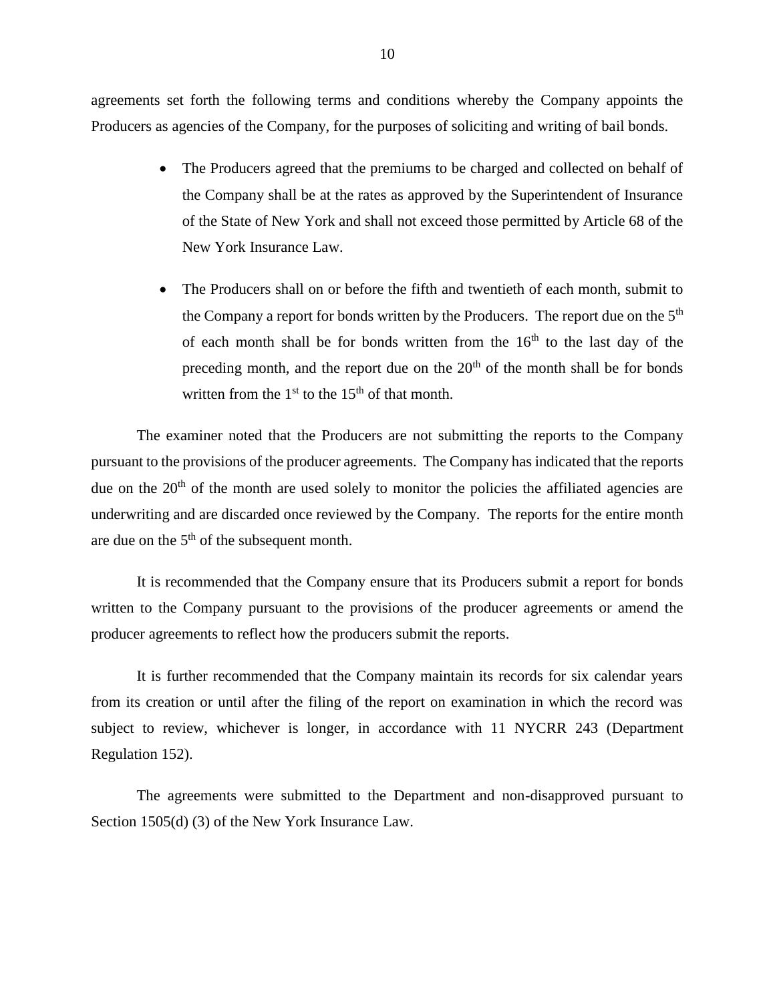agreements set forth the following terms and conditions whereby the Company appoints the Producers as agencies of the Company, for the purposes of soliciting and writing of bail bonds.

- The Producers agreed that the premiums to be charged and collected on behalf of the Company shall be at the rates as approved by the Superintendent of Insurance of the State of New York and shall not exceed those permitted by Article 68 of the New York Insurance Law.
- The Producers shall on or before the fifth and twentieth of each month, submit to the Company a report for bonds written by the Producers. The report due on the  $5<sup>th</sup>$ of each month shall be for bonds written from the  $16<sup>th</sup>$  to the last day of the preceding month, and the report due on the  $20<sup>th</sup>$  of the month shall be for bonds written from the  $1<sup>st</sup>$  to the  $15<sup>th</sup>$  of that month.

The examiner noted that the Producers are not submitting the reports to the Company pursuant to the provisions of the producer agreements. The Company has indicated that the reports due on the  $20<sup>th</sup>$  of the month are used solely to monitor the policies the affiliated agencies are underwriting and are discarded once reviewed by the Company. The reports for the entire month are due on the  $5<sup>th</sup>$  of the subsequent month.

<span id="page-11-0"></span>It is recommended that the Company ensure that its Producers submit a report for bonds written to the Company pursuant to the provisions of the producer agreements or amend the producer agreements to reflect how the producers submit the reports.

<span id="page-11-1"></span>It is further recommended that the Company maintain its records for six calendar years from its creation or until after the filing of the report on examination in which the record was subject to review, whichever is longer, in accordance with 11 NYCRR 243 (Department Regulation 152).

The agreements were submitted to the Department and non-disapproved pursuant to Section 1505(d) (3) of the New York Insurance Law.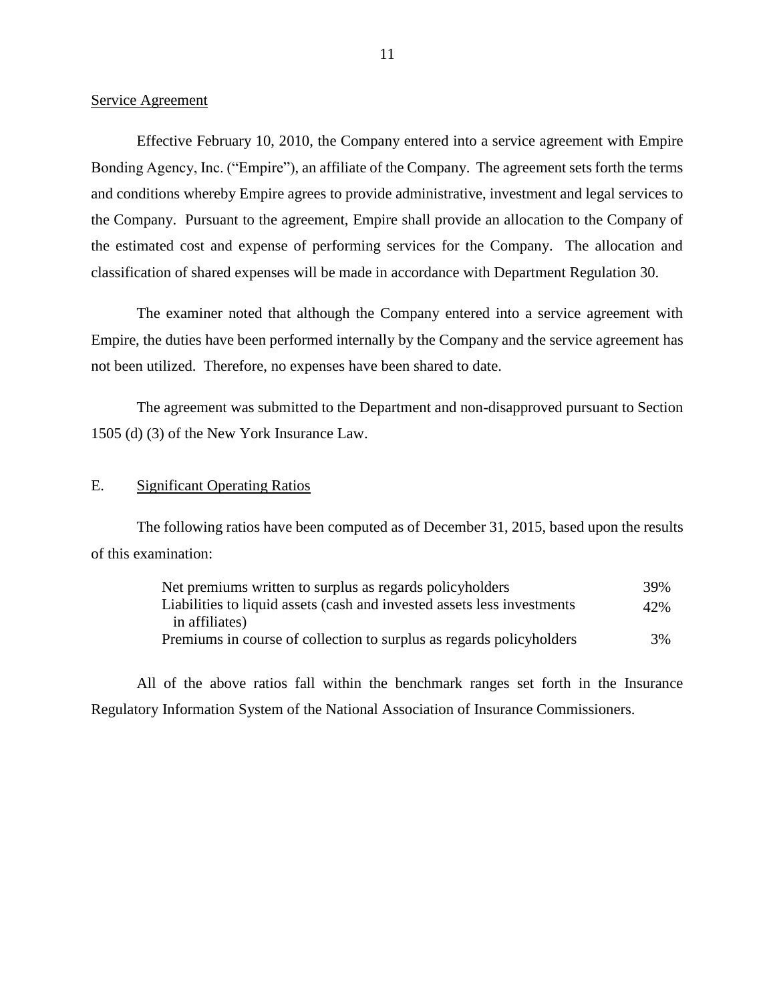#### Service Agreement

Effective February 10, 2010, the Company entered into a service agreement with Empire Bonding Agency, Inc. ("Empire"), an affiliate of the Company. The agreement sets forth the terms and conditions whereby Empire agrees to provide administrative, investment and legal services to the Company. Pursuant to the agreement, Empire shall provide an allocation to the Company of the estimated cost and expense of performing services for the Company. The allocation and classification of shared expenses will be made in accordance with Department Regulation 30.

The examiner noted that although the Company entered into a service agreement with Empire, the duties have been performed internally by the Company and the service agreement has not been utilized. Therefore, no expenses have been shared to date.

The agreement was submitted to the Department and non-disapproved pursuant to Section 1505 (d) (3) of the New York Insurance Law.

#### <span id="page-12-0"></span>E. Significant Operating Ratios

The following ratios have been computed as of December 31, 2015, based upon the results of this examination:

| Net premiums written to surplus as regards policyholders                | 39% |
|-------------------------------------------------------------------------|-----|
| Liabilities to liquid assets (cash and invested assets less investments | 42% |
| in affiliates)                                                          |     |
| Premiums in course of collection to surplus as regards policyholders    | 3%  |

All of the above ratios fall within the benchmark ranges set forth in the Insurance Regulatory Information System of the National Association of Insurance Commissioners.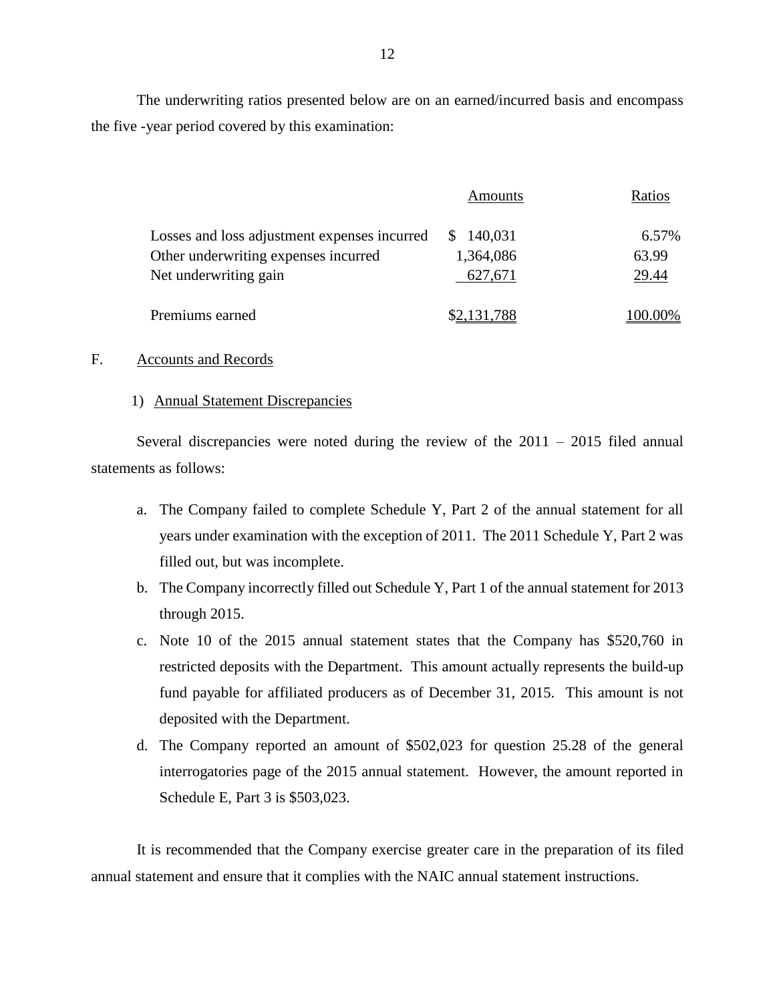The underwriting ratios presented below are on an earned/incurred basis and encompass the five -year period covered by this examination:

|                                              | Amounts        | Ratios  |
|----------------------------------------------|----------------|---------|
| Losses and loss adjustment expenses incurred | 140,031<br>\$. | 6.57%   |
| Other underwriting expenses incurred         | 1,364,086      | 63.99   |
| Net underwriting gain                        | 627,671        | 29.44   |
| Premiums earned                              | \$2,131,788    | 100.00% |

#### <span id="page-13-0"></span>F. Accounts and Records

#### 1) Annual Statement Discrepancies

Several discrepancies were noted during the review of the  $2011 - 2015$  filed annual statements as follows:

- a. The Company failed to complete Schedule Y, Part 2 of the annual statement for all years under examination with the exception of 2011. The 2011 Schedule Y, Part 2 was filled out, but was incomplete.
- b. The Company incorrectly filled out Schedule Y, Part 1 of the annual statement for 2013 through 2015.
- c. Note 10 of the 2015 annual statement states that the Company has \$520,760 in restricted deposits with the Department. This amount actually represents the build-up fund payable for affiliated producers as of December 31, 2015. This amount is not deposited with the Department.
- d. The Company reported an amount of \$502,023 for question 25.28 of the general interrogatories page of the 2015 annual statement. However, the amount reported in Schedule E, Part 3 is \$503,023.

<span id="page-13-1"></span>It is recommended that the Company exercise greater care in the preparation of its filed annual statement and ensure that it complies with the NAIC annual statement instructions.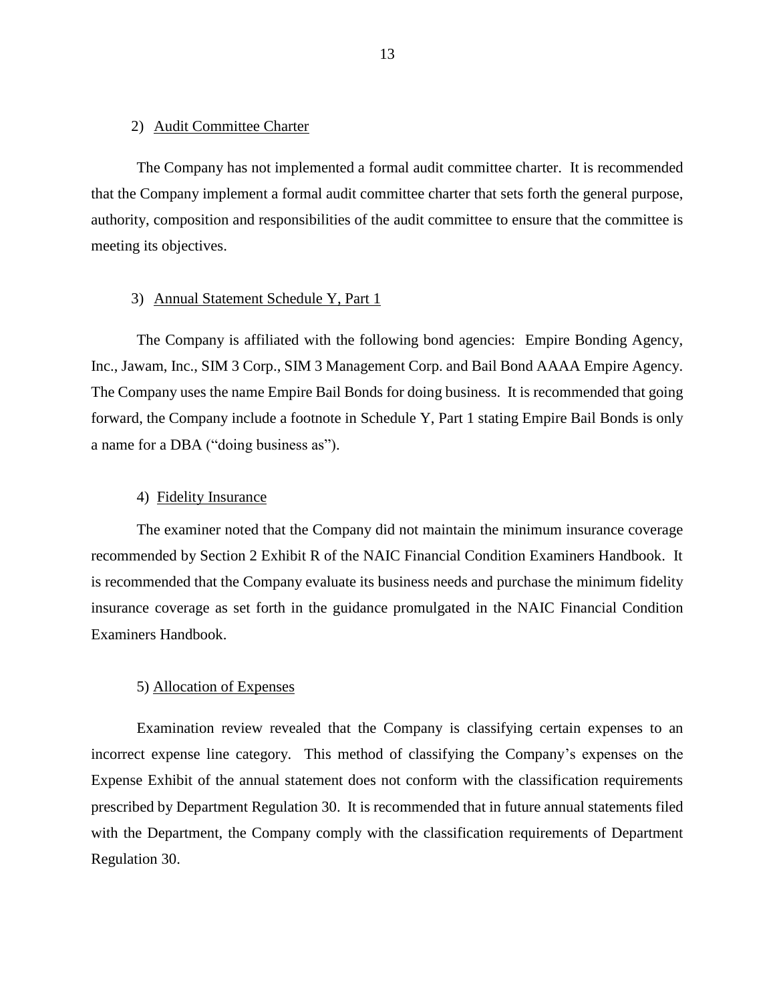#### <span id="page-14-0"></span>2) Audit Committee Charter

The Company has not implemented a formal audit committee charter. It is recommended that the Company implement a formal audit committee charter that sets forth the general purpose, authority, composition and responsibilities of the audit committee to ensure that the committee is meeting its objectives.

#### 3) Annual Statement Schedule Y, Part 1

The Company is affiliated with the following bond agencies: Empire Bonding Agency, Inc., Jawam, Inc., SIM 3 Corp., SIM 3 Management Corp. and Bail Bond AAAA Empire Agency. The Company uses the name Empire Bail Bonds for doing business. It is recommended that going forward, the Company include a footnote in Schedule Y, Part 1 stating Empire Bail Bonds is only a name for a DBA ("doing business as").

#### <span id="page-14-2"></span><span id="page-14-1"></span>4) Fidelity Insurance

The examiner noted that the Company did not maintain the minimum insurance coverage recommended by Section 2 Exhibit R of the NAIC Financial Condition Examiners Handbook. It is recommended that the Company evaluate its business needs and purchase the minimum fidelity insurance coverage as set forth in the guidance promulgated in the NAIC Financial Condition Examiners Handbook.

#### <span id="page-14-3"></span>5) Allocation of Expenses

Examination review revealed that the Company is classifying certain expenses to an incorrect expense line category. This method of classifying the Company's expenses on the Expense Exhibit of the annual statement does not conform with the classification requirements prescribed by Department Regulation 30. It is recommended that in future annual statements filed with the Department, the Company comply with the classification requirements of Department Regulation 30.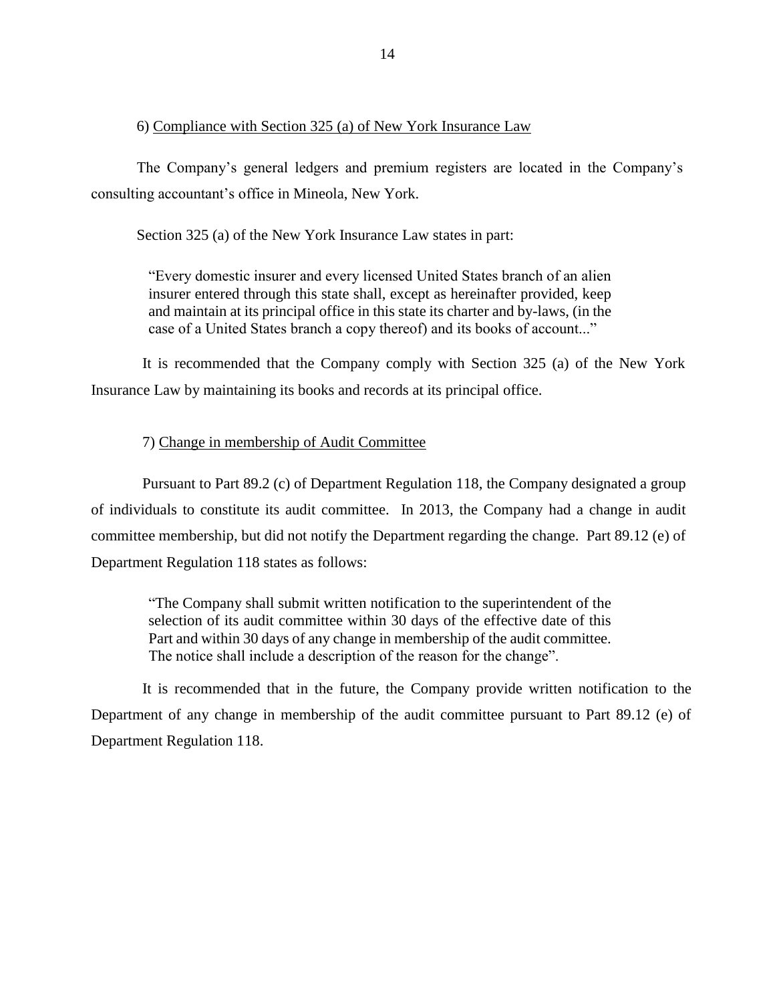#### 6) Compliance with Section 325 (a) of New York Insurance Law

The Company's general ledgers and premium registers are located in the Company's consulting accountant's office in Mineola, New York.

Section 325 (a) of the New York Insurance Law states in part:

"Every domestic insurer and every licensed United States branch of an alien insurer entered through this state shall, except as hereinafter provided, keep and maintain at its principal office in this state its charter and by-laws, (in the case of a United States branch a copy thereof) and its books of account..."

<span id="page-15-0"></span>It is recommended that the Company comply with Section 325 (a) of the New York Insurance Law by maintaining its books and records at its principal office.

#### 7) Change in membership of Audit Committee

Pursuant to Part 89.2 (c) of Department Regulation 118, the Company designated a group of individuals to constitute its audit committee. In 2013, the Company had a change in audit committee membership, but did not notify the Department regarding the change. Part 89.12 (e) of Department Regulation 118 states as follows:

"The Company shall submit written notification to the superintendent of the selection of its audit committee within 30 days of the effective date of this Part and within 30 days of any change in membership of the audit committee. The notice shall include a description of the reason for the change".

<span id="page-15-1"></span>It is recommended that in the future, the Company provide written notification to the Department of any change in membership of the audit committee pursuant to Part 89.12 (e) of Department Regulation 118.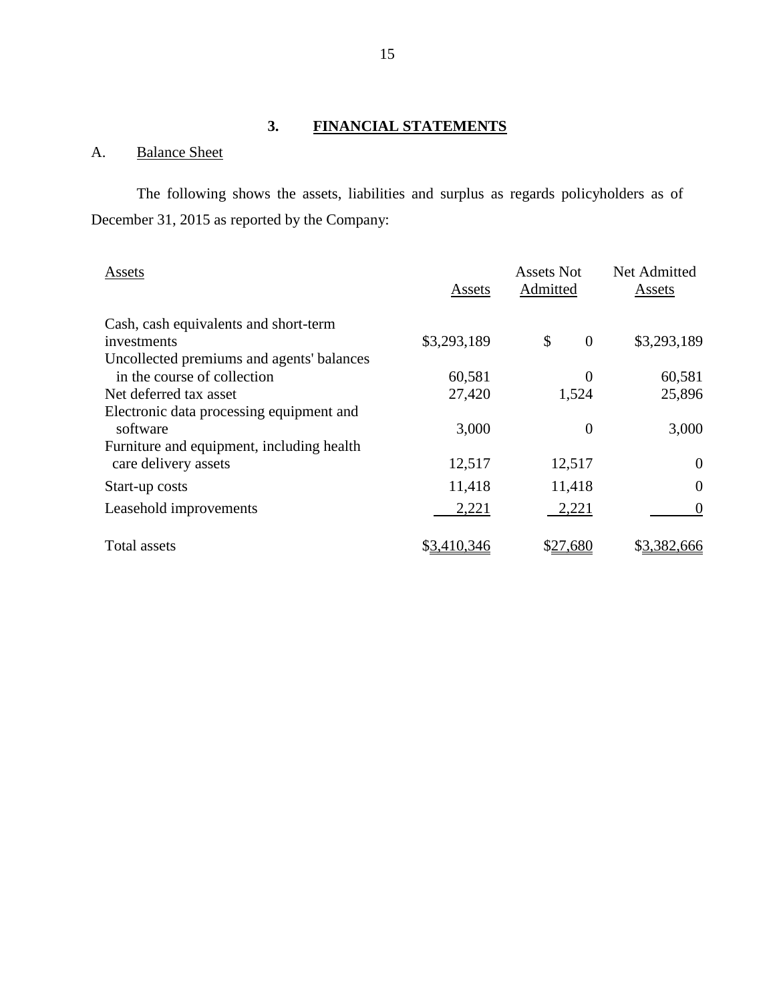## **3. FINANCIAL STATEMENTS**

## <span id="page-16-1"></span><span id="page-16-0"></span>A. Balance Sheet

The following shows the assets, liabilities and surplus as regards policyholders as of December 31, 2015 as reported by the Company:

| Assets                                    | Assets      | Assets Not<br>Admitted | Net Admitted<br>Assets |
|-------------------------------------------|-------------|------------------------|------------------------|
| Cash, cash equivalents and short-term     |             |                        |                        |
| investments                               | \$3,293,189 | \$<br>$\theta$         | \$3,293,189            |
| Uncollected premiums and agents' balances |             |                        |                        |
| in the course of collection               | 60,581      | $\boldsymbol{0}$       | 60,581                 |
| Net deferred tax asset                    | 27,420      | 1,524                  | 25,896                 |
| Electronic data processing equipment and  |             |                        |                        |
| software                                  | 3,000       | 0                      | 3,000                  |
| Furniture and equipment, including health |             |                        |                        |
| care delivery assets                      | 12,517      | 12,517                 | $\Omega$               |
| Start-up costs                            | 11,418      | 11,418                 | $\Omega$               |
| Leasehold improvements                    | 2,221       | 2,221                  | $\theta$               |
| Total assets                              | \$3,410,346 | \$27,680               | \$3,382,666            |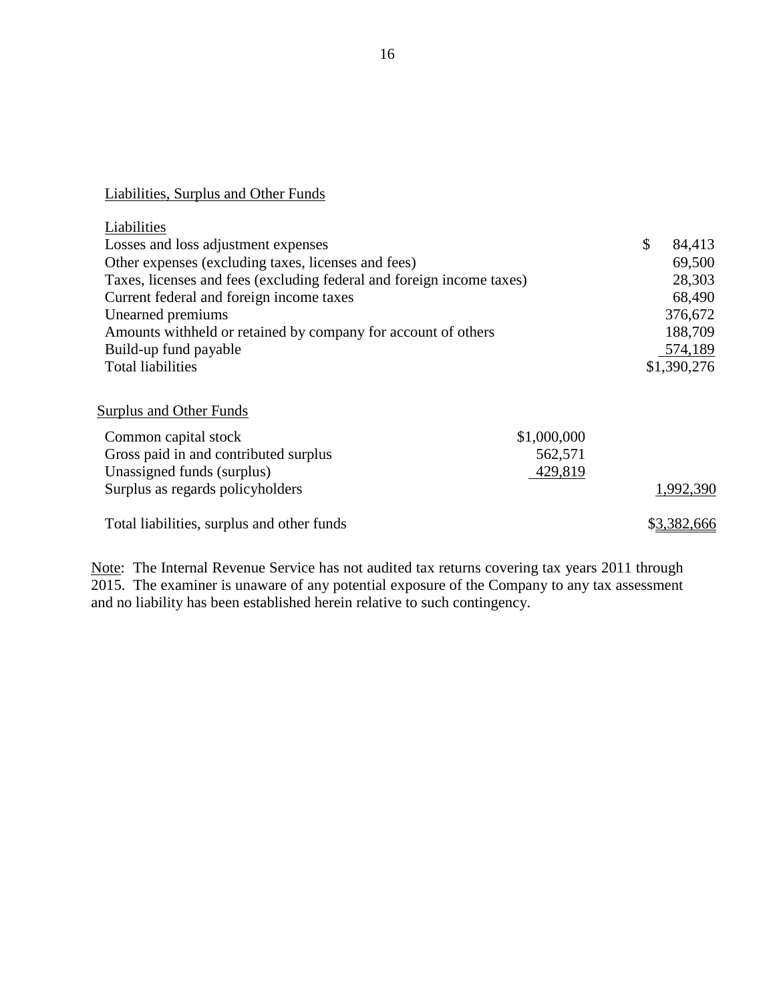### Liabilities, Surplus and Other Funds

| Liabilities                                                           |              |
|-----------------------------------------------------------------------|--------------|
| Losses and loss adjustment expenses                                   | \$<br>84,413 |
| Other expenses (excluding taxes, licenses and fees)                   | 69,500       |
| Taxes, licenses and fees (excluding federal and foreign income taxes) | 28,303       |
| Current federal and foreign income taxes                              | 68,490       |
| Unearned premiums                                                     | 376,672      |
| Amounts withheld or retained by company for account of others         | 188,709      |
| Build-up fund payable                                                 | 574,189      |
| <b>Total liabilities</b>                                              | \$1,390,276  |
|                                                                       |              |
| <b>Surplus and Other Funds</b>                                        |              |
| \$1,000,000<br>Common capital stock                                   |              |
| Gross paid in and contributed surplus<br>562,571                      |              |
| Unassigned funds (surplus)<br>429,819                                 |              |
| Surplus as regards policyholders                                      | 1,992,390    |
| Total liabilities, surplus and other funds                            | \$3,382,666  |

Note: The Internal Revenue Service has not audited tax returns covering tax years 2011 through 2015. The examiner is unaware of any potential exposure of the Company to any tax assessment and no liability has been established herein relative to such contingency.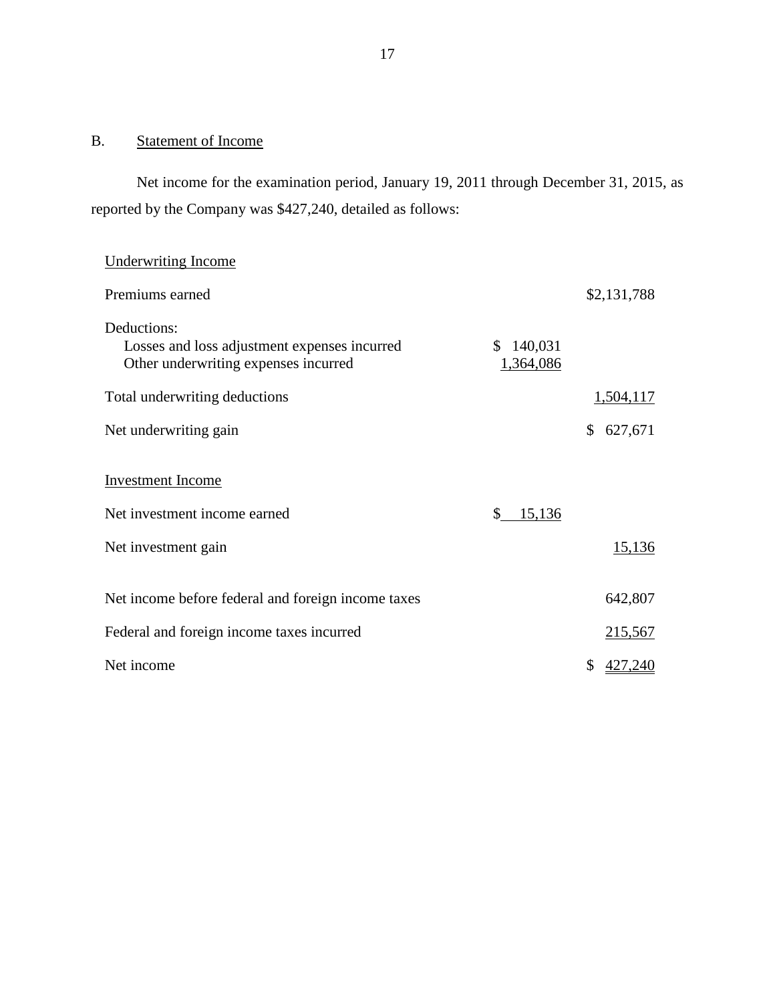## <span id="page-18-0"></span>B. Statement of Income

Net income for the examination period, January 19, 2011 through December 31, 2015, as reported by the Company was \$427,240, detailed as follows:

## Underwriting Income

| Premiums earned                                                                                     |                            | \$2,131,788   |
|-----------------------------------------------------------------------------------------------------|----------------------------|---------------|
| Deductions:<br>Losses and loss adjustment expenses incurred<br>Other underwriting expenses incurred | 140,031<br>S.<br>1,364,086 |               |
| Total underwriting deductions                                                                       |                            | 1,504,117     |
| Net underwriting gain                                                                               |                            | \$<br>627,671 |
| <b>Investment</b> Income                                                                            |                            |               |
| Net investment income earned                                                                        | \$<br>15,136               |               |
| Net investment gain                                                                                 |                            | <u>15,136</u> |
| Net income before federal and foreign income taxes                                                  |                            | 642,807       |
| Federal and foreign income taxes incurred                                                           |                            | 215,567       |
| Net income                                                                                          |                            | \$<br>427,240 |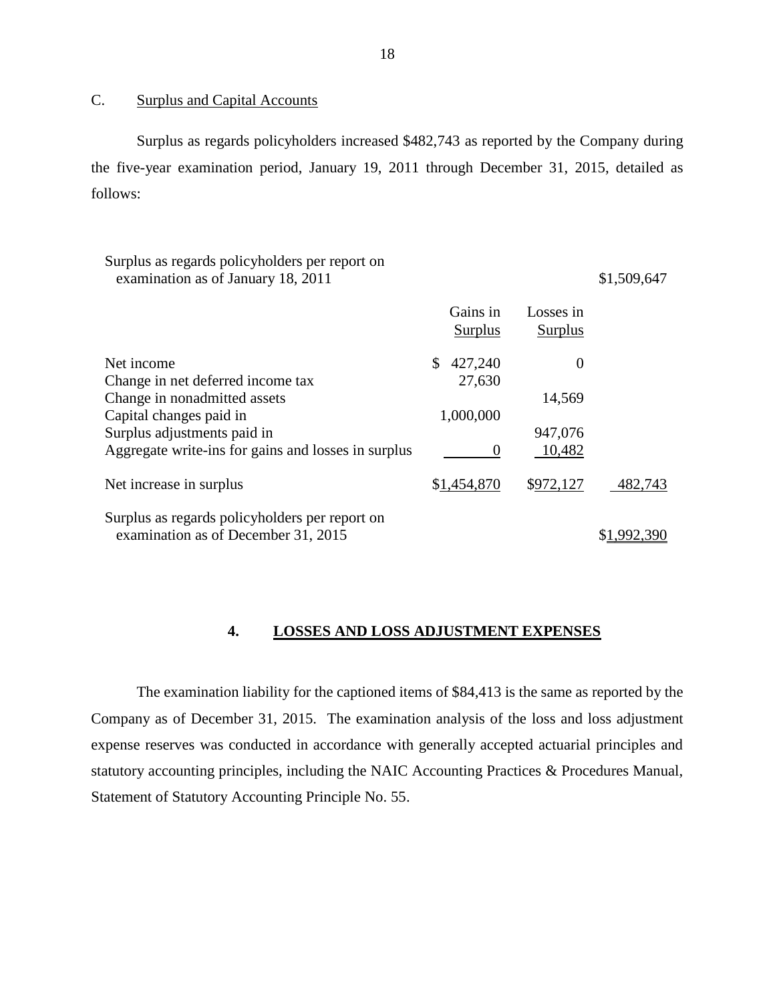## <span id="page-19-0"></span>C. Surplus and Capital Accounts

Surplus as regards policyholders increased \$482,743 as reported by the Company during the five-year examination period, January 19, 2011 through December 31, 2015, detailed as follows:

| Surplus as regards policyholders per report on<br>examination as of January 18, 2011  |                     |                      | \$1,509,647 |
|---------------------------------------------------------------------------------------|---------------------|----------------------|-------------|
|                                                                                       | Gains in<br>Surplus | Losses in<br>Surplus |             |
| Net income                                                                            | \$<br>427,240       | $\theta$             |             |
| Change in net deferred income tax                                                     | 27,630              |                      |             |
| Change in nonadmitted assets                                                          |                     | 14,569               |             |
| Capital changes paid in                                                               | 1,000,000           |                      |             |
| Surplus adjustments paid in                                                           |                     | 947,076              |             |
| Aggregate write-ins for gains and losses in surplus                                   | $\theta$            | 10,482               |             |
| Net increase in surplus                                                               | \$1,454,870         | \$972,127            | 482,743     |
| Surplus as regards policyholders per report on<br>examination as of December 31, 2015 |                     |                      |             |
|                                                                                       |                     |                      |             |

#### <span id="page-19-1"></span>**4. LOSSES AND LOSS ADJUSTMENT EXPENSES**

The examination liability for the captioned items of \$84,413 is the same as reported by the Company as of December 31, 2015. The examination analysis of the loss and loss adjustment expense reserves was conducted in accordance with generally accepted actuarial principles and statutory accounting principles, including the NAIC Accounting Practices & Procedures Manual, Statement of Statutory Accounting Principle No. 55.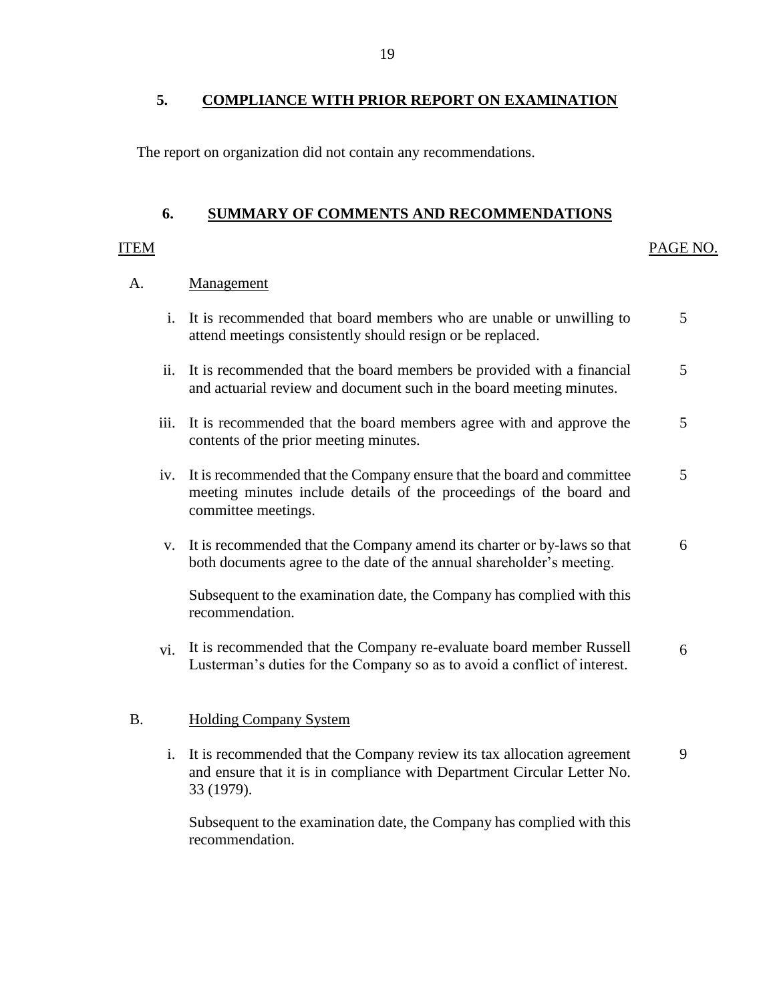## <span id="page-20-0"></span>**5. COMPLIANCE WITH PRIOR REPORT ON EXAMINATION**

The report on organization did not contain any recommendations.

## **6. SUMMARY OF COMMENTS AND RECOMMENDATIONS**

#### <span id="page-20-1"></span>ITEM PAGE NO.

[9](#page-10-0) 

#### A. **Management**

|    |                   | i. It is recommended that board members who are unable or unwilling to<br>attend meetings consistently should resign or be replaced.                                     | 5 |
|----|-------------------|--------------------------------------------------------------------------------------------------------------------------------------------------------------------------|---|
|    | $\overline{11}$ . | It is recommended that the board members be provided with a financial<br>and actuarial review and document such in the board meeting minutes.                            | 5 |
|    | iii.              | It is recommended that the board members agree with and approve the<br>contents of the prior meeting minutes.                                                            | 5 |
|    |                   | iv. It is recommended that the Company ensure that the board and committee<br>meeting minutes include details of the proceedings of the board and<br>committee meetings. | 5 |
|    | V.                | It is recommended that the Company amend its charter or by-laws so that<br>both documents agree to the date of the annual shareholder's meeting.                         | 6 |
|    |                   | Subsequent to the examination date, the Company has complied with this<br>recommendation.                                                                                |   |
|    | vi.               | It is recommended that the Company re-evaluate board member Russell<br>Lusterman's duties for the Company so as to avoid a conflict of interest.                         | 6 |
| Β. |                   | <b>Holding Company System</b>                                                                                                                                            |   |

## i. It is recommended that the Company review its tax allocation agreement and ensure that it is in compliance with Department Circular Letter No. 33 (1979).

Subsequent to the examination date, the Company has complied with this recommendation.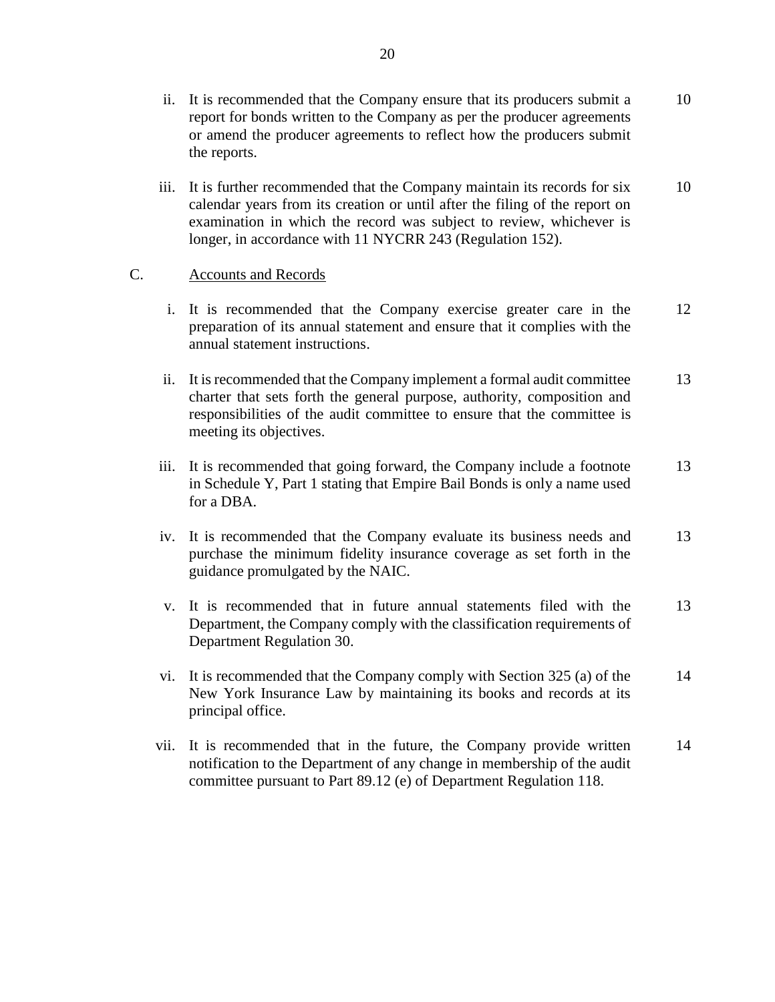- ii. It is recommended that the Company ensure that its producers submit a report for bonds written to the Company as per the producer agreements or amend the producer agreements to reflect how the producers submit the reports. [10](#page-11-0)
- iii. It is further recommended that the Company maintain its records for six calendar years from its creation or until after the filing of the report on examination in which the record was subject to review, whichever is longer, in accordance with 11 NYCRR 243 (Regulation 152). [10](#page-11-1)

### C. Accounts and Records

- i. It is recommended that the Company exercise greater care in the preparation of its annual statement and ensure that it complies with the annual statement instructions. [12](#page-13-1)
- ii. It is recommended that the Company implement a formal audit committee charter that sets forth the general purpose, authority, composition and responsibilities of the audit committee to ensure that the committee is meeting its objectives. [13](#page-14-0)
- iii. It is recommended that going forward, the Company include a footnote in Schedule Y, Part 1 stating that Empire Bail Bonds is only a name used for a DBA. [13](#page-14-1)
- iv. It is recommended that the Company evaluate its business needs and purchase the minimum fidelity insurance coverage as set forth in the guidance promulgated by the NAIC. [13](#page-14-2)
- v. It is recommended that in future annual statements filed with the Department, the Company comply with the classification requirements of Department Regulation 30. [13](#page-14-3)
- vi. It is recommended that the Company comply with Section 325 (a) of the New York Insurance Law by maintaining its books and records at its principal office. [14](#page-15-0)
- vii. It is recommended that in the future, the Company provide written notification to the Department of any change in membership of the audit committee pursuant to Part 89.12 (e) of Department Regulation 118. [14](#page-15-1)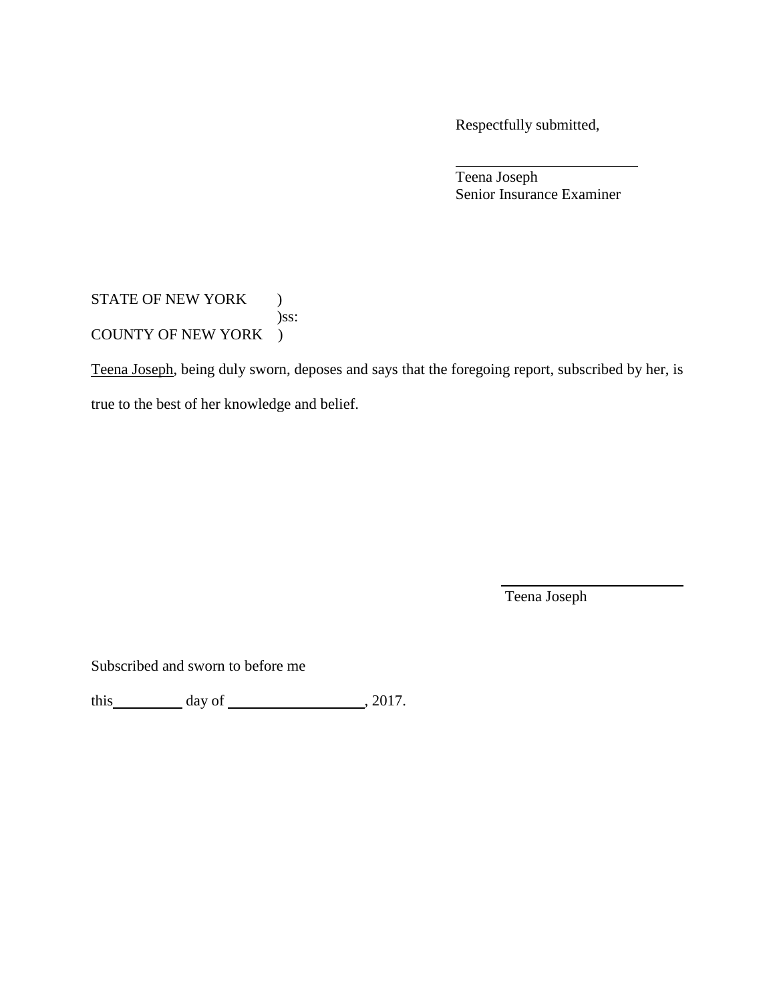Respectfully submitted,

Teena Joseph Senior Insurance Examiner

STATE OF NEW YORK ) )ss: COUNTY OF NEW YORK )

Teena Joseph, being duly sworn, deposes and says that the foregoing report, subscribed by her, is

true to the best of her knowledge and belief.

Teena Joseph

Subscribed and sworn to before me

this  $\qquad \qquad$  day of  $\qquad \qquad$  , 2017.